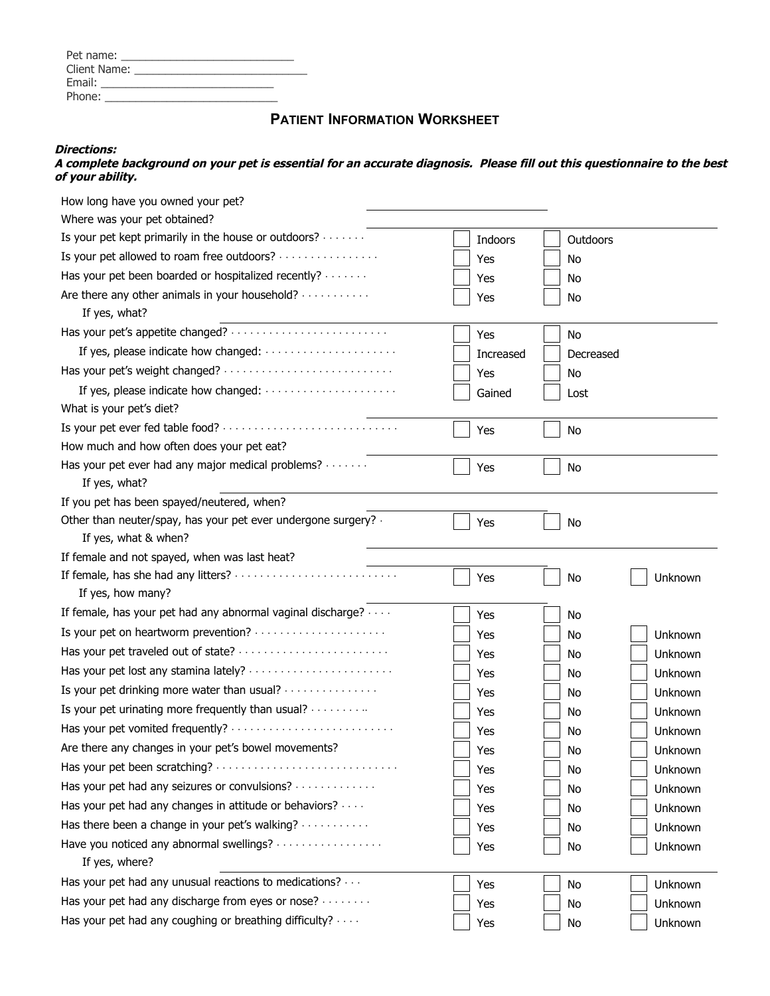| Pet name:    |                                                                                                                                                                                                                               |  |
|--------------|-------------------------------------------------------------------------------------------------------------------------------------------------------------------------------------------------------------------------------|--|
| Client Name: | the control of the control of the control of the control of the control of the control of the control of the control of the control of the control of the control of the control of the control of the control of the control |  |
| Email:       |                                                                                                                                                                                                                               |  |
| Phone:       |                                                                                                                                                                                                                               |  |
|              |                                                                                                                                                                                                                               |  |

## **PATIENT INFORMATION WORKSHEET**

## **Directions:**

**A complete background on your pet is essential for an accurate diagnosis. Please fill out this questionnaire to the best of your ability.** 

| How long have you owned your pet?                                                      |           |           |         |
|----------------------------------------------------------------------------------------|-----------|-----------|---------|
| Where was your pet obtained?                                                           |           |           |         |
| Is your pet kept primarily in the house or outdoors?                                   | Indoors   | Outdoors  |         |
| Is your pet allowed to roam free outdoors?                                             | Yes       | No        |         |
| Has your pet been boarded or hospitalized recently?                                    | Yes       | No        |         |
| Are there any other animals in your household?<br>If yes, what?                        | Yes       | No        |         |
|                                                                                        | Yes       | No        |         |
|                                                                                        | Increased | Decreased |         |
| Has your pet's weight changed?                                                         | Yes       | No        |         |
| If yes, please indicate how changed:<br>What is your pet's diet?                       | Gained    | Lost      |         |
|                                                                                        | Yes       | No        |         |
| How much and how often does your pet eat?                                              |           |           |         |
| Has your pet ever had any major medical problems?<br>If yes, what?                     | Yes       | No        |         |
| If you pet has been spayed/neutered, when?                                             |           |           |         |
| Other than neuter/spay, has your pet ever undergone surgery? .<br>If yes, what & when? | Yes       | No        |         |
| If female and not spayed, when was last heat?                                          |           |           |         |
| If yes, how many?                                                                      | Yes       | No        | Unknown |
| If female, has your pet had any abnormal vaginal discharge?                            | Yes       | No        |         |
| Is your pet on heartworm prevention?                                                   | Yes       | No        | Unknown |
| Has your pet traveled out of state?                                                    | Yes       | No        | Unknown |
|                                                                                        | Yes       | No.       | Unknown |
| Is your pet drinking more water than usual?                                            | Yes       | No        | Unknown |
| Is your pet urinating more frequently than usual?                                      | Yes       | No        | Unknown |
|                                                                                        | Yes       | No        | Unknown |
| Are there any changes in your pet's bowel movements?                                   | Yes       | No        | Unknown |
| Has your pet been scratching?                                                          | Yes       | No        | Unknown |
| Has your pet had any seizures or convulsions?                                          | Yes       | No        | Unknown |
| Has your pet had any changes in attitude or behaviors?                                 | Yes       | No        | Unknown |
| Has there been a change in your pet's walking?                                         | Yes       | No        | Unknown |
| Have you noticed any abnormal swellings?<br>If yes, where?                             | Yes       | No        | Unknown |
| Has your pet had any unusual reactions to medications?                                 | Yes       | No        | Unknown |
| Has your pet had any discharge from eyes or nose?                                      | Yes       | No        | Unknown |
| Has your pet had any coughing or breathing difficulty?                                 | Yes       | No        | Unknown |